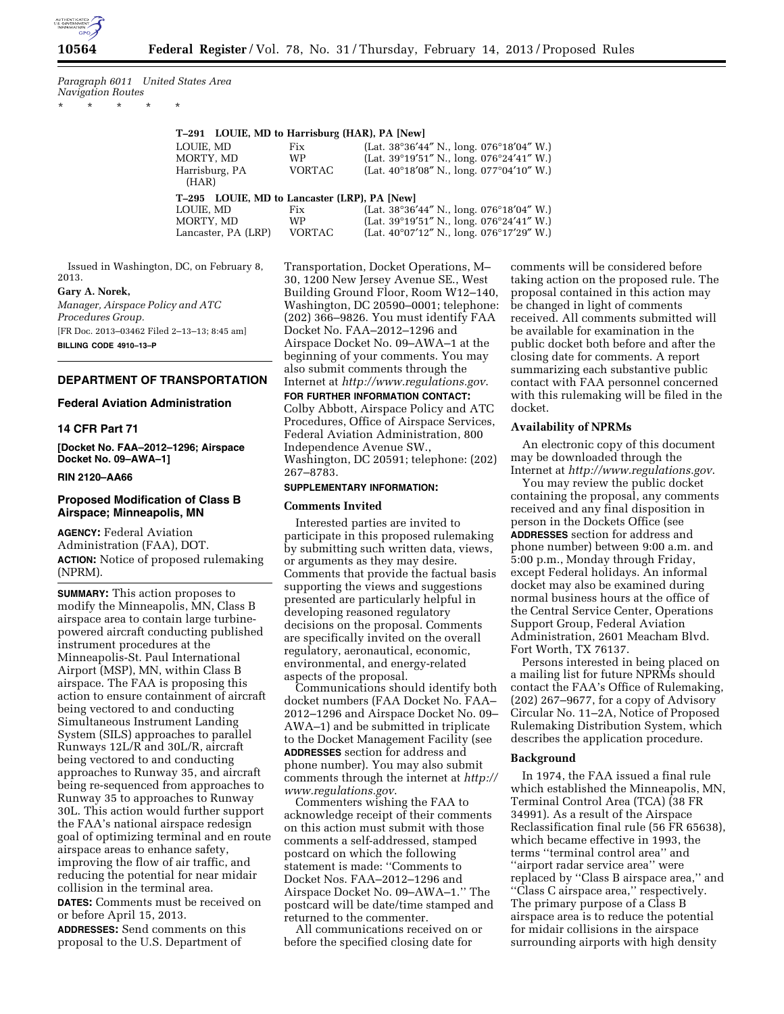

*Paragraph 6011 United States Area Navigation Routes* 

|  | $\star$ $\star$ $\star$ $\star$ $\star$ |  |
|--|-----------------------------------------|--|
|  |                                         |  |

| T-291 LOUIE, MD to Harrisburg (HAR), PA [New] |        |                                                              |  |  |
|-----------------------------------------------|--------|--------------------------------------------------------------|--|--|
| LOUIE, MD                                     | Fix    | (Lat. 38°36'44" N., long. 076°18'04" W.)                     |  |  |
| MORTY, MD                                     | WP     | (Lat. $39^{\circ}19'51''$ N., long. $076^{\circ}24'41''$ W.) |  |  |
| Harrisburg, PA<br>(HAR)                       | VORTAC | (Lat. $40^{\circ}18'08''$ N., long. $077^{\circ}04'10''$ W.) |  |  |
| T-295 LOUIE, MD to Lancaster (LRP), PA [New]  |        |                                                              |  |  |
| LOUIE, MD                                     | Fix    | (Lat. 38°36'44" N., long. 076°18'04" W.)                     |  |  |
| MORTY, MD                                     | WP     | (Lat. $39^{\circ}19'51''$ N., long. $076^{\circ}24'41''$ W.) |  |  |
| Lancaster, PA (LRP)                           | VORTAC | (Lat. $40^{\circ}07'12''$ N., long. $076^{\circ}17'29''$ W.) |  |  |

Issued in Washington, DC, on February 8, 2013. **Gary A. Norek,** 

*Manager, Airspace Policy and ATC Procedures Group.*  [FR Doc. 2013–03462 Filed 2–13–13; 8:45 am] **BILLING CODE 4910–13–P** 

**DEPARTMENT OF TRANSPORTATION** 

# **Federal Aviation Administration**

## **14 CFR Part 71**

**[Docket No. FAA–2012–1296; Airspace Docket No. 09–AWA–1]** 

## **RIN 2120–AA66**

## **Proposed Modification of Class B Airspace; Minneapolis, MN**

**AGENCY:** Federal Aviation Administration (FAA), DOT. **ACTION:** Notice of proposed rulemaking (NPRM).

**SUMMARY:** This action proposes to modify the Minneapolis, MN, Class B airspace area to contain large turbinepowered aircraft conducting published instrument procedures at the Minneapolis-St. Paul International Airport (MSP), MN, within Class B airspace. The FAA is proposing this action to ensure containment of aircraft being vectored to and conducting Simultaneous Instrument Landing System (SILS) approaches to parallel Runways 12L/R and 30L/R, aircraft being vectored to and conducting approaches to Runway 35, and aircraft being re-sequenced from approaches to Runway 35 to approaches to Runway 30L. This action would further support the FAA's national airspace redesign goal of optimizing terminal and en route airspace areas to enhance safety, improving the flow of air traffic, and reducing the potential for near midair collision in the terminal area. **DATES:** Comments must be received on or before April 15, 2013.

**ADDRESSES:** Send comments on this proposal to the U.S. Department of

Transportation, Docket Operations, M– 30, 1200 New Jersey Avenue SE., West Building Ground Floor, Room W12–140, Washington, DC 20590–0001; telephone: (202) 366–9826. You must identify FAA Docket No. FAA–2012–1296 and Airspace Docket No. 09–AWA–1 at the beginning of your comments. You may also submit comments through the Internet at *<http://www.regulations.gov>*.

**FOR FURTHER INFORMATION CONTACT:**  Colby Abbott, Airspace Policy and ATC Procedures, Office of Airspace Services, Federal Aviation Administration, 800 Independence Avenue SW., Washington, DC 20591; telephone: (202) 267–8783.

# **SUPPLEMENTARY INFORMATION:**

## **Comments Invited**

Interested parties are invited to participate in this proposed rulemaking by submitting such written data, views, or arguments as they may desire. Comments that provide the factual basis supporting the views and suggestions presented are particularly helpful in developing reasoned regulatory decisions on the proposal. Comments are specifically invited on the overall regulatory, aeronautical, economic, environmental, and energy-related aspects of the proposal.

Communications should identify both docket numbers (FAA Docket No. FAA– 2012–1296 and Airspace Docket No. 09– AWA–1) and be submitted in triplicate to the Docket Management Facility (see **ADDRESSES** section for address and phone number). You may also submit comments through the internet at *[http://](http://www.regulations.gov)  [www.regulations.gov](http://www.regulations.gov)*.

Commenters wishing the FAA to acknowledge receipt of their comments on this action must submit with those comments a self-addressed, stamped postcard on which the following statement is made: ''Comments to Docket Nos. FAA–2012–1296 and Airspace Docket No. 09–AWA–1.'' The postcard will be date/time stamped and returned to the commenter.

All communications received on or before the specified closing date for

comments will be considered before taking action on the proposed rule. The proposal contained in this action may be changed in light of comments received. All comments submitted will be available for examination in the public docket both before and after the closing date for comments. A report summarizing each substantive public contact with FAA personnel concerned with this rulemaking will be filed in the docket.

## **Availability of NPRMs**

An electronic copy of this document may be downloaded through the Internet at *<http://www.regulations.gov>*.

You may review the public docket containing the proposal, any comments received and any final disposition in person in the Dockets Office (see **ADDRESSES** section for address and phone number) between 9:00 a.m. and 5:00 p.m., Monday through Friday, except Federal holidays. An informal docket may also be examined during normal business hours at the office of the Central Service Center, Operations Support Group, Federal Aviation Administration, 2601 Meacham Blvd. Fort Worth, TX 76137.

Persons interested in being placed on a mailing list for future NPRMs should contact the FAA's Office of Rulemaking, (202) 267–9677, for a copy of Advisory Circular No. 11–2A, Notice of Proposed Rulemaking Distribution System, which describes the application procedure.

## **Background**

In 1974, the FAA issued a final rule which established the Minneapolis, MN, Terminal Control Area (TCA) (38 FR 34991). As a result of the Airspace Reclassification final rule (56 FR 65638), which became effective in 1993, the terms ''terminal control area'' and ''airport radar service area'' were replaced by ''Class B airspace area,'' and ''Class C airspace area,'' respectively. The primary purpose of a Class B airspace area is to reduce the potential for midair collisions in the airspace surrounding airports with high density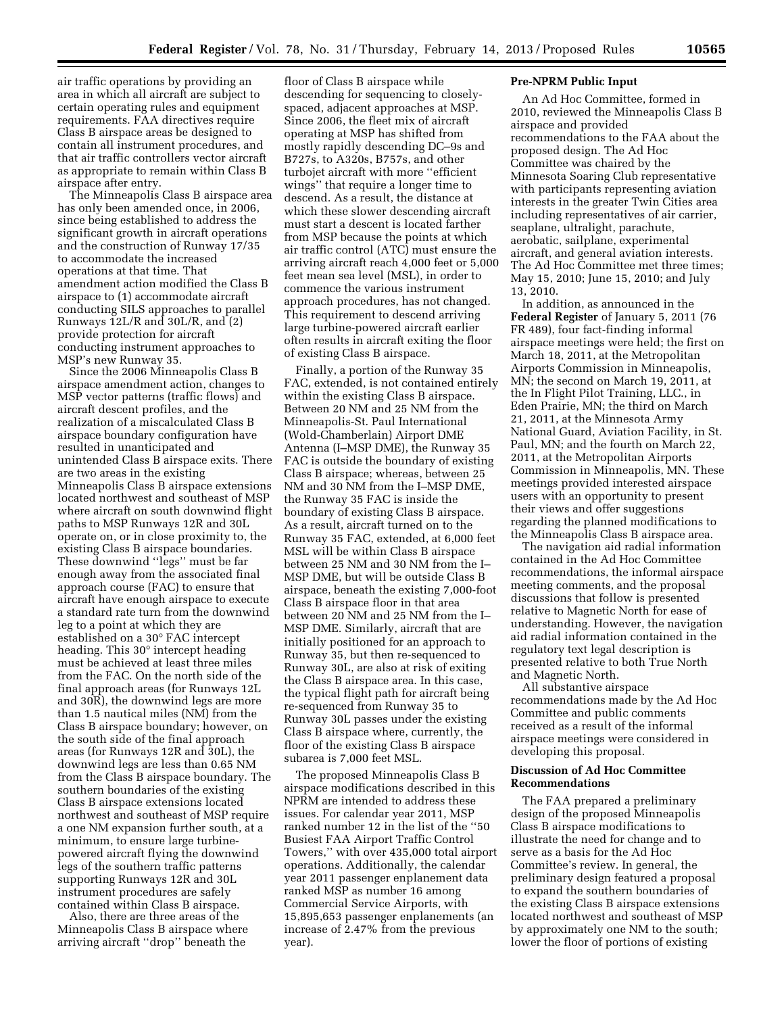air traffic operations by providing an area in which all aircraft are subject to certain operating rules and equipment requirements. FAA directives require Class B airspace areas be designed to contain all instrument procedures, and that air traffic controllers vector aircraft as appropriate to remain within Class B airspace after entry.

The Minneapolis Class B airspace area has only been amended once, in 2006, since being established to address the significant growth in aircraft operations and the construction of Runway 17/35 to accommodate the increased operations at that time. That amendment action modified the Class B airspace to (1) accommodate aircraft conducting SILS approaches to parallel Runways 12L/R and 30L/R, and (2) provide protection for aircraft conducting instrument approaches to MSP's new Runway 35.

Since the 2006 Minneapolis Class B airspace amendment action, changes to MSP vector patterns (traffic flows) and aircraft descent profiles, and the realization of a miscalculated Class B airspace boundary configuration have resulted in unanticipated and unintended Class B airspace exits. There are two areas in the existing Minneapolis Class B airspace extensions located northwest and southeast of MSP where aircraft on south downwind flight paths to MSP Runways 12R and 30L operate on, or in close proximity to, the existing Class B airspace boundaries. These downwind ''legs'' must be far enough away from the associated final approach course (FAC) to ensure that aircraft have enough airspace to execute a standard rate turn from the downwind leg to a point at which they are established on a 30° FAC intercept heading. This 30° intercept heading must be achieved at least three miles from the FAC. On the north side of the final approach areas (for Runways 12L and 30R), the downwind legs are more than 1.5 nautical miles (NM) from the Class B airspace boundary; however, on the south side of the final approach areas (for Runways 12R and 30L), the downwind legs are less than 0.65 NM from the Class B airspace boundary. The southern boundaries of the existing Class B airspace extensions located northwest and southeast of MSP require a one NM expansion further south, at a minimum, to ensure large turbinepowered aircraft flying the downwind legs of the southern traffic patterns supporting Runways 12R and 30L instrument procedures are safely contained within Class B airspace.

Also, there are three areas of the Minneapolis Class B airspace where arriving aircraft ''drop'' beneath the

floor of Class B airspace while descending for sequencing to closelyspaced, adjacent approaches at MSP. Since 2006, the fleet mix of aircraft operating at MSP has shifted from mostly rapidly descending DC–9s and B727s, to A320s, B757s, and other turbojet aircraft with more ''efficient wings'' that require a longer time to descend. As a result, the distance at which these slower descending aircraft must start a descent is located farther from MSP because the points at which air traffic control (ATC) must ensure the arriving aircraft reach 4,000 feet or 5,000 feet mean sea level (MSL), in order to commence the various instrument approach procedures, has not changed. This requirement to descend arriving large turbine-powered aircraft earlier often results in aircraft exiting the floor of existing Class B airspace.

Finally, a portion of the Runway 35 FAC, extended, is not contained entirely within the existing Class B airspace. Between 20 NM and 25 NM from the Minneapolis-St. Paul International (Wold-Chamberlain) Airport DME Antenna (I–MSP DME), the Runway 35 FAC is outside the boundary of existing Class B airspace; whereas, between 25 NM and 30 NM from the I–MSP DME, the Runway 35 FAC is inside the boundary of existing Class B airspace. As a result, aircraft turned on to the Runway 35 FAC, extended, at 6,000 feet MSL will be within Class B airspace between 25 NM and 30 NM from the I– MSP DME, but will be outside Class B airspace, beneath the existing 7,000-foot Class B airspace floor in that area between 20 NM and 25 NM from the I– MSP DME. Similarly, aircraft that are initially positioned for an approach to Runway 35, but then re-sequenced to Runway 30L, are also at risk of exiting the Class B airspace area. In this case, the typical flight path for aircraft being re-sequenced from Runway 35 to Runway 30L passes under the existing Class B airspace where, currently, the floor of the existing Class B airspace subarea is 7,000 feet MSL.

The proposed Minneapolis Class B airspace modifications described in this NPRM are intended to address these issues. For calendar year 2011, MSP ranked number 12 in the list of the ''50 Busiest FAA Airport Traffic Control Towers,'' with over 435,000 total airport operations. Additionally, the calendar year 2011 passenger enplanement data ranked MSP as number 16 among Commercial Service Airports, with 15,895,653 passenger enplanements (an increase of 2.47% from the previous year).

## **Pre-NPRM Public Input**

An Ad Hoc Committee, formed in 2010, reviewed the Minneapolis Class B airspace and provided recommendations to the FAA about the proposed design. The Ad Hoc Committee was chaired by the Minnesota Soaring Club representative with participants representing aviation interests in the greater Twin Cities area including representatives of air carrier, seaplane, ultralight, parachute, aerobatic, sailplane, experimental aircraft, and general aviation interests. The Ad Hoc Committee met three times; May 15, 2010; June 15, 2010; and July 13, 2010.

In addition, as announced in the **Federal Register** of January 5, 2011 (76 FR 489), four fact-finding informal airspace meetings were held; the first on March 18, 2011, at the Metropolitan Airports Commission in Minneapolis, MN; the second on March 19, 2011, at the In Flight Pilot Training, LLC., in Eden Prairie, MN; the third on March 21, 2011, at the Minnesota Army National Guard, Aviation Facility, in St. Paul, MN; and the fourth on March 22, 2011, at the Metropolitan Airports Commission in Minneapolis, MN. These meetings provided interested airspace users with an opportunity to present their views and offer suggestions regarding the planned modifications to the Minneapolis Class B airspace area.

The navigation aid radial information contained in the Ad Hoc Committee recommendations, the informal airspace meeting comments, and the proposal discussions that follow is presented relative to Magnetic North for ease of understanding. However, the navigation aid radial information contained in the regulatory text legal description is presented relative to both True North and Magnetic North.

All substantive airspace recommendations made by the Ad Hoc Committee and public comments received as a result of the informal airspace meetings were considered in developing this proposal.

## **Discussion of Ad Hoc Committee Recommendations**

The FAA prepared a preliminary design of the proposed Minneapolis Class B airspace modifications to illustrate the need for change and to serve as a basis for the Ad Hoc Committee's review. In general, the preliminary design featured a proposal to expand the southern boundaries of the existing Class B airspace extensions located northwest and southeast of MSP by approximately one NM to the south; lower the floor of portions of existing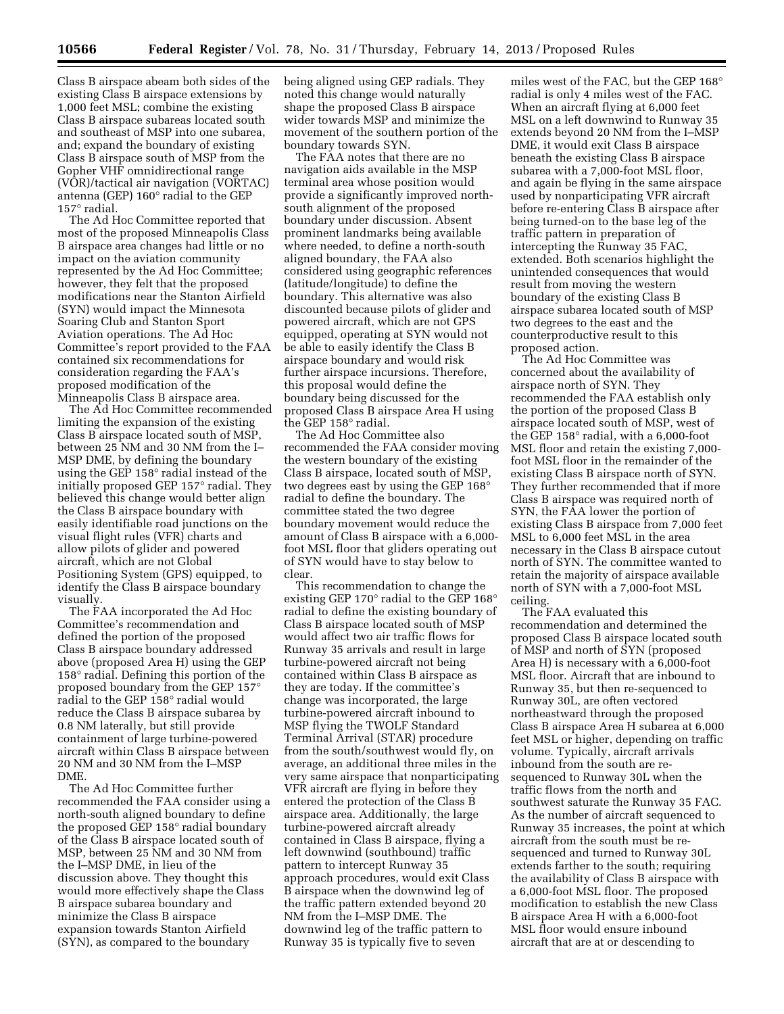Class B airspace abeam both sides of the existing Class B airspace extensions by 1,000 feet MSL; combine the existing Class B airspace subareas located south and southeast of MSP into one subarea, and; expand the boundary of existing Class B airspace south of MSP from the Gopher VHF omnidirectional range (VOR)/tactical air navigation (VORTAC) antenna (GEP) 160° radial to the GEP 157° radial.

The Ad Hoc Committee reported that most of the proposed Minneapolis Class B airspace area changes had little or no impact on the aviation community represented by the Ad Hoc Committee; however, they felt that the proposed modifications near the Stanton Airfield (SYN) would impact the Minnesota Soaring Club and Stanton Sport Aviation operations. The Ad Hoc Committee's report provided to the FAA contained six recommendations for consideration regarding the FAA's proposed modification of the Minneapolis Class B airspace area.

The Ad Hoc Committee recommended limiting the expansion of the existing Class B airspace located south of MSP, between 25 NM and 30 NM from the I– MSP DME, by defining the boundary using the GEP 158° radial instead of the initially proposed GEP 157° radial. They believed this change would better align the Class B airspace boundary with easily identifiable road junctions on the visual flight rules (VFR) charts and allow pilots of glider and powered aircraft, which are not Global Positioning System (GPS) equipped, to identify the Class B airspace boundary visually.

The FAA incorporated the Ad Hoc Committee's recommendation and defined the portion of the proposed Class B airspace boundary addressed above (proposed Area H) using the GEP 158° radial. Defining this portion of the proposed boundary from the GEP 157° radial to the GEP 158° radial would reduce the Class B airspace subarea by 0.8 NM laterally, but still provide containment of large turbine-powered aircraft within Class B airspace between 20 NM and 30 NM from the I–MSP DME.

The Ad Hoc Committee further recommended the FAA consider using a north-south aligned boundary to define the proposed GEP 158° radial boundary of the Class B airspace located south of MSP, between 25 NM and 30 NM from the I–MSP DME, in lieu of the discussion above. They thought this would more effectively shape the Class B airspace subarea boundary and minimize the Class B airspace expansion towards Stanton Airfield (SYN), as compared to the boundary

being aligned using GEP radials. They noted this change would naturally shape the proposed Class B airspace wider towards MSP and minimize the movement of the southern portion of the boundary towards SYN.

The FAA notes that there are no navigation aids available in the MSP terminal area whose position would provide a significantly improved northsouth alignment of the proposed boundary under discussion. Absent prominent landmarks being available where needed, to define a north-south aligned boundary, the FAA also considered using geographic references (latitude/longitude) to define the boundary. This alternative was also discounted because pilots of glider and powered aircraft, which are not GPS equipped, operating at SYN would not be able to easily identify the Class B airspace boundary and would risk further airspace incursions. Therefore, this proposal would define the boundary being discussed for the proposed Class B airspace Area H using the GEP 158° radial.

The Ad Hoc Committee also recommended the FAA consider moving the western boundary of the existing Class B airspace, located south of MSP, two degrees east by using the GEP 168° radial to define the boundary. The committee stated the two degree boundary movement would reduce the amount of Class B airspace with a 6,000 foot MSL floor that gliders operating out of SYN would have to stay below to clear.

This recommendation to change the existing GEP 170° radial to the GEP 168° radial to define the existing boundary of Class B airspace located south of MSP would affect two air traffic flows for Runway 35 arrivals and result in large turbine-powered aircraft not being contained within Class B airspace as they are today. If the committee's change was incorporated, the large turbine-powered aircraft inbound to MSP flying the TWOLF Standard Terminal Arrival (STAR) procedure from the south/southwest would fly, on average, an additional three miles in the very same airspace that nonparticipating VFR aircraft are flying in before they entered the protection of the Class B airspace area. Additionally, the large turbine-powered aircraft already contained in Class B airspace, flying a left downwind (southbound) traffic pattern to intercept Runway 35 approach procedures, would exit Class B airspace when the downwind leg of the traffic pattern extended beyond 20 NM from the I–MSP DME. The downwind leg of the traffic pattern to Runway 35 is typically five to seven

miles west of the FAC, but the GEP 168° radial is only 4 miles west of the FAC. When an aircraft flying at 6,000 feet MSL on a left downwind to Runway 35 extends beyond 20 NM from the I–MSP DME, it would exit Class B airspace beneath the existing Class B airspace subarea with a 7,000-foot MSL floor, and again be flying in the same airspace used by nonparticipating VFR aircraft before re-entering Class B airspace after being turned-on to the base leg of the traffic pattern in preparation of intercepting the Runway 35 FAC, extended. Both scenarios highlight the unintended consequences that would result from moving the western boundary of the existing Class B airspace subarea located south of MSP two degrees to the east and the counterproductive result to this proposed action.

The Ad Hoc Committee was concerned about the availability of airspace north of SYN. They recommended the FAA establish only the portion of the proposed Class B airspace located south of MSP, west of the GEP 158° radial, with a 6,000-foot MSL floor and retain the existing 7,000 foot MSL floor in the remainder of the existing Class B airspace north of SYN. They further recommended that if more Class B airspace was required north of SYN, the FAA lower the portion of existing Class B airspace from 7,000 feet MSL to 6,000 feet MSL in the area necessary in the Class B airspace cutout north of SYN. The committee wanted to retain the majority of airspace available north of SYN with a 7,000-foot MSL ceiling.

The FAA evaluated this recommendation and determined the proposed Class B airspace located south of MSP and north of SYN (proposed Area H) is necessary with a 6,000-foot MSL floor. Aircraft that are inbound to Runway 35, but then re-sequenced to Runway 30L, are often vectored northeastward through the proposed Class B airspace Area H subarea at 6,000 feet MSL or higher, depending on traffic volume. Typically, aircraft arrivals inbound from the south are resequenced to Runway 30L when the traffic flows from the north and southwest saturate the Runway 35 FAC. As the number of aircraft sequenced to Runway 35 increases, the point at which aircraft from the south must be resequenced and turned to Runway 30L extends farther to the south; requiring the availability of Class B airspace with a 6,000-foot MSL floor. The proposed modification to establish the new Class B airspace Area H with a 6,000-foot MSL floor would ensure inbound aircraft that are at or descending to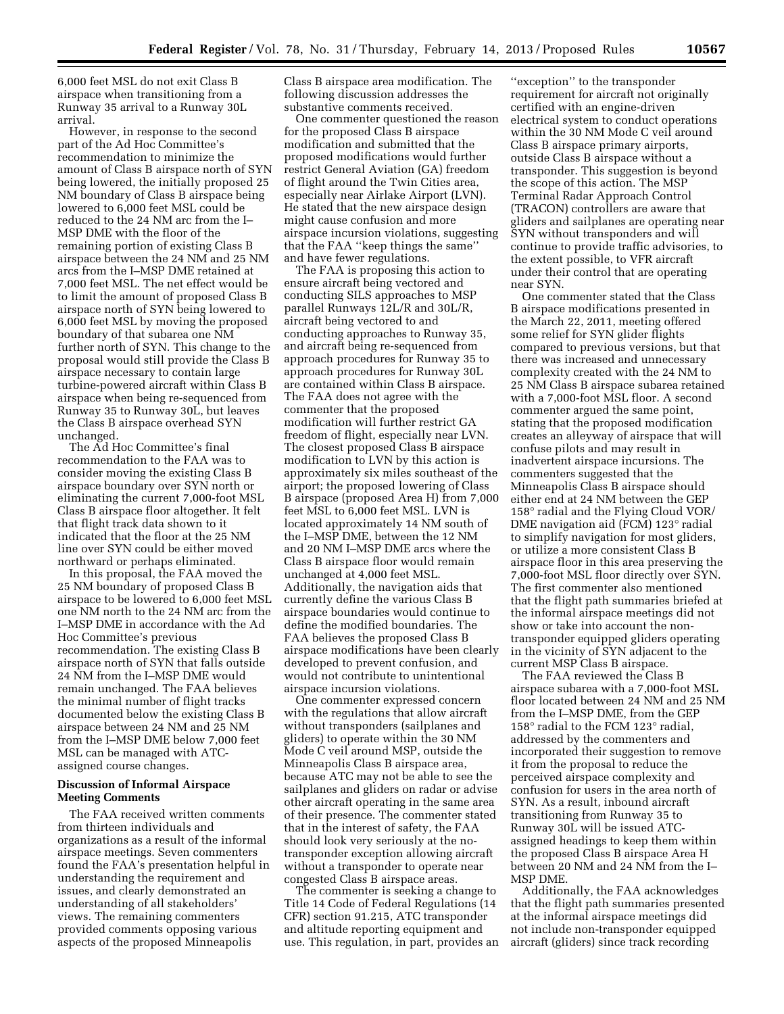6,000 feet MSL do not exit Class B airspace when transitioning from a Runway 35 arrival to a Runway 30L arrival.

However, in response to the second part of the Ad Hoc Committee's recommendation to minimize the amount of Class B airspace north of SYN being lowered, the initially proposed 25 NM boundary of Class B airspace being lowered to 6,000 feet MSL could be reduced to the 24 NM arc from the I– MSP DME with the floor of the remaining portion of existing Class B airspace between the 24 NM and 25 NM arcs from the I–MSP DME retained at 7,000 feet MSL. The net effect would be to limit the amount of proposed Class B airspace north of SYN being lowered to 6,000 feet MSL by moving the proposed boundary of that subarea one NM further north of SYN. This change to the proposal would still provide the Class B airspace necessary to contain large turbine-powered aircraft within Class B airspace when being re-sequenced from Runway 35 to Runway 30L, but leaves the Class B airspace overhead SYN unchanged.

The Ad Hoc Committee's final recommendation to the FAA was to consider moving the existing Class B airspace boundary over SYN north or eliminating the current 7,000-foot MSL Class B airspace floor altogether. It felt that flight track data shown to it indicated that the floor at the 25 NM line over SYN could be either moved northward or perhaps eliminated.

In this proposal, the FAA moved the 25 NM boundary of proposed Class B airspace to be lowered to 6,000 feet MSL one NM north to the 24 NM arc from the I–MSP DME in accordance with the Ad Hoc Committee's previous recommendation. The existing Class B airspace north of SYN that falls outside 24 NM from the I–MSP DME would remain unchanged. The FAA believes the minimal number of flight tracks documented below the existing Class B airspace between 24 NM and 25 NM from the I–MSP DME below 7,000 feet MSL can be managed with ATCassigned course changes.

## **Discussion of Informal Airspace Meeting Comments**

The FAA received written comments from thirteen individuals and organizations as a result of the informal airspace meetings. Seven commenters found the FAA's presentation helpful in understanding the requirement and issues, and clearly demonstrated an understanding of all stakeholders' views. The remaining commenters provided comments opposing various aspects of the proposed Minneapolis

Class B airspace area modification. The following discussion addresses the substantive comments received.

One commenter questioned the reason for the proposed Class B airspace modification and submitted that the proposed modifications would further restrict General Aviation (GA) freedom of flight around the Twin Cities area, especially near Airlake Airport (LVN). He stated that the new airspace design might cause confusion and more airspace incursion violations, suggesting that the FAA ''keep things the same'' and have fewer regulations.

The FAA is proposing this action to ensure aircraft being vectored and conducting SILS approaches to MSP parallel Runways 12L/R and 30L/R, aircraft being vectored to and conducting approaches to Runway 35, and aircraft being re-sequenced from approach procedures for Runway 35 to approach procedures for Runway 30L are contained within Class B airspace. The FAA does not agree with the commenter that the proposed modification will further restrict GA freedom of flight, especially near LVN. The closest proposed Class B airspace modification to LVN by this action is approximately six miles southeast of the airport; the proposed lowering of Class B airspace (proposed Area H) from 7,000 feet MSL to 6,000 feet MSL. LVN is located approximately 14 NM south of the I–MSP DME, between the 12 NM and 20 NM I–MSP DME arcs where the Class B airspace floor would remain unchanged at 4,000 feet MSL. Additionally, the navigation aids that currently define the various Class B airspace boundaries would continue to define the modified boundaries. The FAA believes the proposed Class B airspace modifications have been clearly developed to prevent confusion, and would not contribute to unintentional airspace incursion violations.

One commenter expressed concern with the regulations that allow aircraft without transponders (sailplanes and gliders) to operate within the 30 NM Mode C veil around MSP, outside the Minneapolis Class B airspace area, because ATC may not be able to see the sailplanes and gliders on radar or advise other aircraft operating in the same area of their presence. The commenter stated that in the interest of safety, the FAA should look very seriously at the notransponder exception allowing aircraft without a transponder to operate near congested Class B airspace areas.

The commenter is seeking a change to Title 14 Code of Federal Regulations (14 CFR) section 91.215, ATC transponder and altitude reporting equipment and use. This regulation, in part, provides an

''exception'' to the transponder requirement for aircraft not originally certified with an engine-driven electrical system to conduct operations within the 30 NM Mode C veil around Class B airspace primary airports, outside Class B airspace without a transponder. This suggestion is beyond the scope of this action. The MSP Terminal Radar Approach Control (TRACON) controllers are aware that gliders and sailplanes are operating near SYN without transponders and will continue to provide traffic advisories, to the extent possible, to VFR aircraft under their control that are operating near SYN.

One commenter stated that the Class B airspace modifications presented in the March 22, 2011, meeting offered some relief for SYN glider flights compared to previous versions, but that there was increased and unnecessary complexity created with the 24 NM to 25 NM Class B airspace subarea retained with a 7,000-foot MSL floor. A second commenter argued the same point, stating that the proposed modification creates an alleyway of airspace that will confuse pilots and may result in inadvertent airspace incursions. The commenters suggested that the Minneapolis Class B airspace should either end at 24 NM between the GEP 158° radial and the Flying Cloud VOR/ DME navigation aid (FCM) 123° radial to simplify navigation for most gliders, or utilize a more consistent Class B airspace floor in this area preserving the 7,000-foot MSL floor directly over SYN. The first commenter also mentioned that the flight path summaries briefed at the informal airspace meetings did not show or take into account the nontransponder equipped gliders operating in the vicinity of SYN adjacent to the current MSP Class B airspace.

The FAA reviewed the Class B airspace subarea with a 7,000-foot MSL floor located between 24 NM and 25 NM from the I–MSP DME, from the GEP 158° radial to the FCM 123° radial, addressed by the commenters and incorporated their suggestion to remove it from the proposal to reduce the perceived airspace complexity and confusion for users in the area north of SYN. As a result, inbound aircraft transitioning from Runway 35 to Runway 30L will be issued ATCassigned headings to keep them within the proposed Class B airspace Area H between 20 NM and 24 NM from the I– MSP DME.

Additionally, the FAA acknowledges that the flight path summaries presented at the informal airspace meetings did not include non-transponder equipped aircraft (gliders) since track recording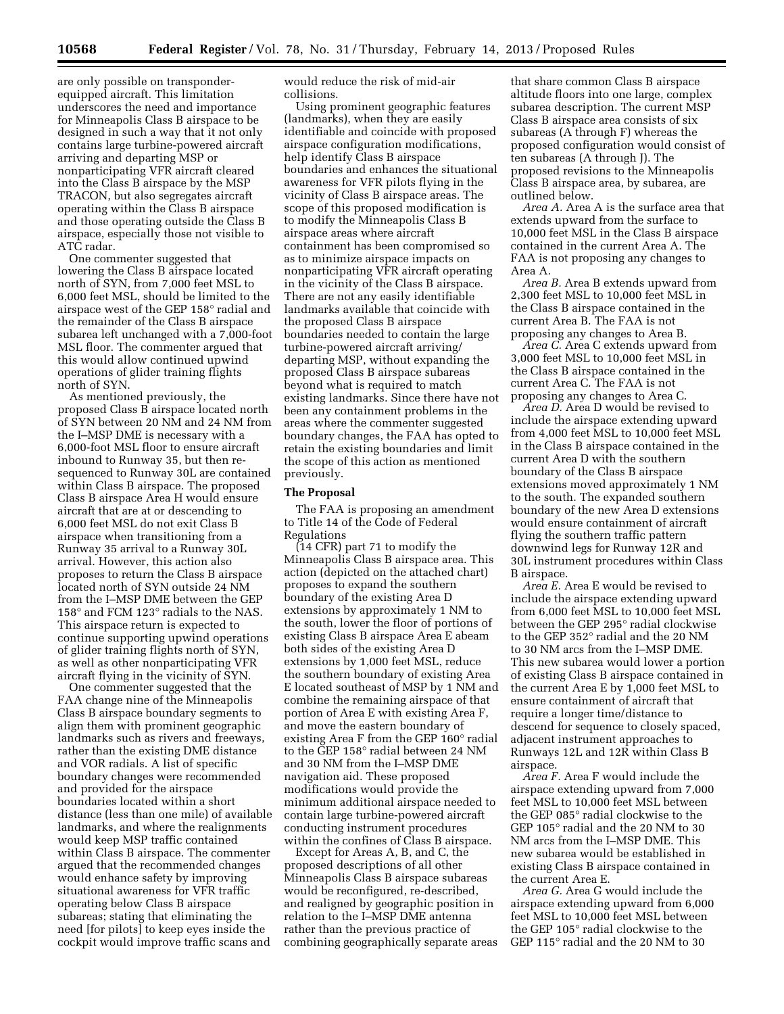are only possible on transponderequipped aircraft. This limitation underscores the need and importance for Minneapolis Class B airspace to be designed in such a way that it not only contains large turbine-powered aircraft arriving and departing MSP or nonparticipating VFR aircraft cleared into the Class B airspace by the MSP TRACON, but also segregates aircraft operating within the Class B airspace and those operating outside the Class B airspace, especially those not visible to ATC radar.

One commenter suggested that lowering the Class B airspace located north of SYN, from 7,000 feet MSL to 6,000 feet MSL, should be limited to the airspace west of the GEP 158° radial and the remainder of the Class B airspace subarea left unchanged with a 7,000-foot MSL floor. The commenter argued that this would allow continued upwind operations of glider training flights north of SYN.

As mentioned previously, the proposed Class B airspace located north of SYN between 20 NM and 24 NM from the I–MSP DME is necessary with a 6,000-foot MSL floor to ensure aircraft inbound to Runway 35, but then resequenced to Runway 30L are contained within Class B airspace. The proposed Class B airspace Area H would ensure aircraft that are at or descending to 6,000 feet MSL do not exit Class B airspace when transitioning from a Runway 35 arrival to a Runway 30L arrival. However, this action also proposes to return the Class B airspace located north of SYN outside 24 NM from the I–MSP DME between the GEP 158° and FCM 123° radials to the NAS. This airspace return is expected to continue supporting upwind operations of glider training flights north of SYN, as well as other nonparticipating VFR aircraft flying in the vicinity of SYN.

One commenter suggested that the FAA change nine of the Minneapolis Class B airspace boundary segments to align them with prominent geographic landmarks such as rivers and freeways, rather than the existing DME distance and VOR radials. A list of specific boundary changes were recommended and provided for the airspace boundaries located within a short distance (less than one mile) of available landmarks, and where the realignments would keep MSP traffic contained within Class B airspace. The commenter argued that the recommended changes would enhance safety by improving situational awareness for VFR traffic operating below Class B airspace subareas; stating that eliminating the need [for pilots] to keep eyes inside the cockpit would improve traffic scans and

would reduce the risk of mid-air collisions.

Using prominent geographic features (landmarks), when they are easily identifiable and coincide with proposed airspace configuration modifications, help identify Class B airspace boundaries and enhances the situational awareness for VFR pilots flying in the vicinity of Class B airspace areas. The scope of this proposed modification is to modify the Minneapolis Class B airspace areas where aircraft containment has been compromised so as to minimize airspace impacts on nonparticipating VFR aircraft operating in the vicinity of the Class B airspace. There are not any easily identifiable landmarks available that coincide with the proposed Class B airspace boundaries needed to contain the large turbine-powered aircraft arriving/ departing MSP, without expanding the proposed Class B airspace subareas beyond what is required to match existing landmarks. Since there have not been any containment problems in the areas where the commenter suggested boundary changes, the FAA has opted to retain the existing boundaries and limit the scope of this action as mentioned previously.

## **The Proposal**

The FAA is proposing an amendment to Title 14 of the Code of Federal Regulations

(14 CFR) part 71 to modify the Minneapolis Class B airspace area. This action (depicted on the attached chart) proposes to expand the southern boundary of the existing Area D extensions by approximately 1 NM to the south, lower the floor of portions of existing Class B airspace Area E abeam both sides of the existing Area D extensions by 1,000 feet MSL, reduce the southern boundary of existing Area E located southeast of MSP by 1 NM and combine the remaining airspace of that portion of Area E with existing Area F, and move the eastern boundary of existing Area F from the GEP 160° radial to the GEP 158° radial between 24 NM and 30 NM from the I–MSP DME navigation aid. These proposed modifications would provide the minimum additional airspace needed to contain large turbine-powered aircraft conducting instrument procedures within the confines of Class B airspace.

Except for Areas A, B, and C, the proposed descriptions of all other Minneapolis Class B airspace subareas would be reconfigured, re-described, and realigned by geographic position in relation to the I–MSP DME antenna rather than the previous practice of combining geographically separate areas

that share common Class B airspace altitude floors into one large, complex subarea description. The current MSP Class B airspace area consists of six subareas (A through F) whereas the proposed configuration would consist of ten subareas (A through J). The proposed revisions to the Minneapolis Class B airspace area, by subarea, are outlined below.

*Area A.* Area A is the surface area that extends upward from the surface to 10,000 feet MSL in the Class B airspace contained in the current Area A. The FAA is not proposing any changes to Area A.

*Area B.* Area B extends upward from 2,300 feet MSL to 10,000 feet MSL in the Class B airspace contained in the current Area B. The FAA is not proposing any changes to Area B.

*Area C.* Area C extends upward from 3,000 feet MSL to 10,000 feet MSL in the Class B airspace contained in the current Area C. The FAA is not proposing any changes to Area C.

*Area D.* Area D would be revised to include the airspace extending upward from 4,000 feet MSL to 10,000 feet MSL in the Class B airspace contained in the current Area D with the southern boundary of the Class B airspace extensions moved approximately 1 NM to the south. The expanded southern boundary of the new Area D extensions would ensure containment of aircraft flying the southern traffic pattern downwind legs for Runway 12R and 30L instrument procedures within Class B airspace.

*Area E.* Area E would be revised to include the airspace extending upward from 6,000 feet MSL to 10,000 feet MSL between the GEP 295° radial clockwise to the GEP 352° radial and the 20 NM to 30 NM arcs from the I–MSP DME. This new subarea would lower a portion of existing Class B airspace contained in the current Area E by 1,000 feet MSL to ensure containment of aircraft that require a longer time/distance to descend for sequence to closely spaced, adjacent instrument approaches to Runways 12L and 12R within Class B airspace.

*Area F.* Area F would include the airspace extending upward from 7,000 feet MSL to 10,000 feet MSL between the GEP 085° radial clockwise to the GEP 105° radial and the 20 NM to 30 NM arcs from the I–MSP DME. This new subarea would be established in existing Class B airspace contained in the current Area E.

*Area G.* Area G would include the airspace extending upward from 6,000 feet MSL to 10,000 feet MSL between the GEP 105° radial clockwise to the GEP 115° radial and the 20 NM to 30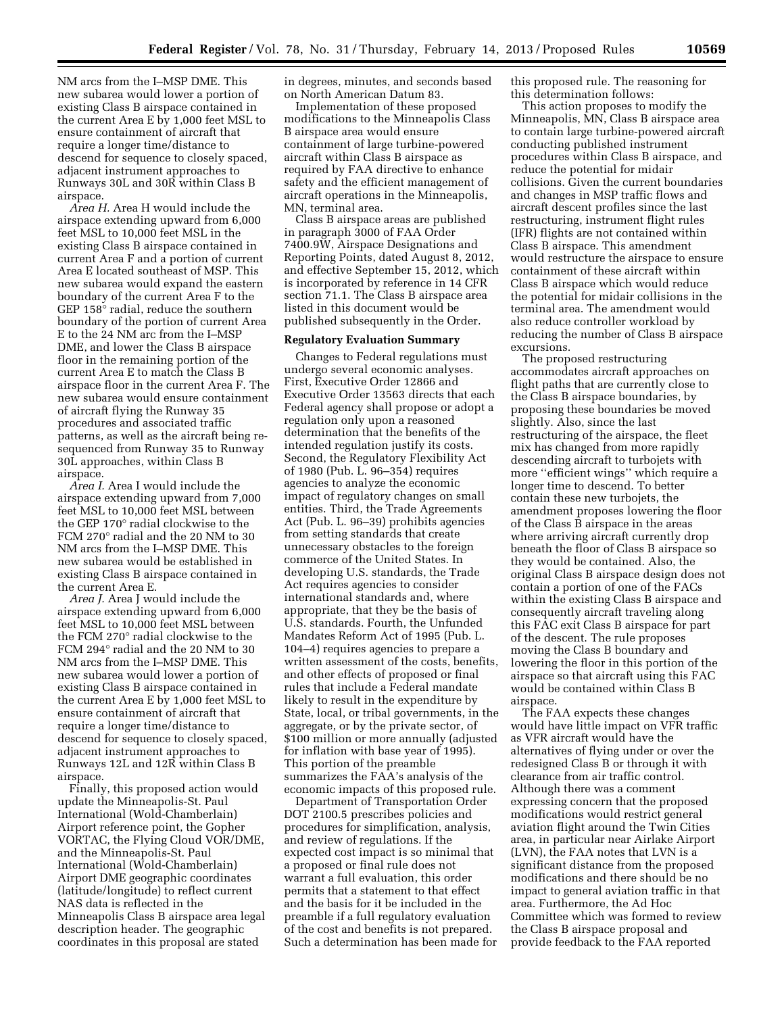NM arcs from the I–MSP DME. This new subarea would lower a portion of existing Class B airspace contained in the current Area E by 1,000 feet MSL to ensure containment of aircraft that require a longer time/distance to descend for sequence to closely spaced, adjacent instrument approaches to Runways 30L and 30R within Class B airspace.

*Area H.* Area H would include the airspace extending upward from 6,000 feet MSL to 10,000 feet MSL in the existing Class B airspace contained in current Area F and a portion of current Area E located southeast of MSP. This new subarea would expand the eastern boundary of the current Area F to the GEP 158° radial, reduce the southern boundary of the portion of current Area E to the 24 NM arc from the I–MSP DME, and lower the Class B airspace floor in the remaining portion of the current Area E to match the Class B airspace floor in the current Area F. The new subarea would ensure containment of aircraft flying the Runway 35 procedures and associated traffic patterns, as well as the aircraft being resequenced from Runway 35 to Runway 30L approaches, within Class B airspace.

*Area I.* Area I would include the airspace extending upward from 7,000 feet MSL to 10,000 feet MSL between the GEP 170° radial clockwise to the FCM 270° radial and the 20 NM to 30 NM arcs from the I–MSP DME. This new subarea would be established in existing Class B airspace contained in the current Area E.

*Area J.* Area J would include the airspace extending upward from 6,000 feet MSL to 10,000 feet MSL between the FCM 270° radial clockwise to the FCM 294° radial and the 20 NM to 30 NM arcs from the I–MSP DME. This new subarea would lower a portion of existing Class B airspace contained in the current Area E by 1,000 feet MSL to ensure containment of aircraft that require a longer time/distance to descend for sequence to closely spaced, adjacent instrument approaches to Runways 12L and 12R within Class B airspace.

Finally, this proposed action would update the Minneapolis-St. Paul International (Wold-Chamberlain) Airport reference point, the Gopher VORTAC, the Flying Cloud VOR/DME, and the Minneapolis-St. Paul International (Wold-Chamberlain) Airport DME geographic coordinates (latitude/longitude) to reflect current NAS data is reflected in the Minneapolis Class B airspace area legal description header. The geographic coordinates in this proposal are stated

in degrees, minutes, and seconds based on North American Datum 83.

Implementation of these proposed modifications to the Minneapolis Class B airspace area would ensure containment of large turbine-powered aircraft within Class B airspace as required by FAA directive to enhance safety and the efficient management of aircraft operations in the Minneapolis, MN, terminal area.

Class B airspace areas are published in paragraph 3000 of FAA Order 7400.9W, Airspace Designations and Reporting Points, dated August 8, 2012, and effective September 15, 2012, which is incorporated by reference in 14 CFR section 71.1. The Class B airspace area listed in this document would be published subsequently in the Order.

### **Regulatory Evaluation Summary**

Changes to Federal regulations must undergo several economic analyses. First, Executive Order 12866 and Executive Order 13563 directs that each Federal agency shall propose or adopt a regulation only upon a reasoned determination that the benefits of the intended regulation justify its costs. Second, the Regulatory Flexibility Act of 1980 (Pub. L. 96–354) requires agencies to analyze the economic impact of regulatory changes on small entities. Third, the Trade Agreements Act (Pub. L. 96–39) prohibits agencies from setting standards that create unnecessary obstacles to the foreign commerce of the United States. In developing U.S. standards, the Trade Act requires agencies to consider international standards and, where appropriate, that they be the basis of U.S. standards. Fourth, the Unfunded Mandates Reform Act of 1995 (Pub. L. 104–4) requires agencies to prepare a written assessment of the costs, benefits, and other effects of proposed or final rules that include a Federal mandate likely to result in the expenditure by State, local, or tribal governments, in the aggregate, or by the private sector, of \$100 million or more annually (adjusted for inflation with base year of 1995). This portion of the preamble summarizes the FAA's analysis of the economic impacts of this proposed rule.

Department of Transportation Order DOT 2100.5 prescribes policies and procedures for simplification, analysis, and review of regulations. If the expected cost impact is so minimal that a proposed or final rule does not warrant a full evaluation, this order permits that a statement to that effect and the basis for it be included in the preamble if a full regulatory evaluation of the cost and benefits is not prepared. Such a determination has been made for this proposed rule. The reasoning for this determination follows:

This action proposes to modify the Minneapolis, MN, Class B airspace area to contain large turbine-powered aircraft conducting published instrument procedures within Class B airspace, and reduce the potential for midair collisions. Given the current boundaries and changes in MSP traffic flows and aircraft descent profiles since the last restructuring, instrument flight rules (IFR) flights are not contained within Class B airspace. This amendment would restructure the airspace to ensure containment of these aircraft within Class B airspace which would reduce the potential for midair collisions in the terminal area. The amendment would also reduce controller workload by reducing the number of Class B airspace excursions.

The proposed restructuring accommodates aircraft approaches on flight paths that are currently close to the Class B airspace boundaries, by proposing these boundaries be moved slightly. Also, since the last restructuring of the airspace, the fleet mix has changed from more rapidly descending aircraft to turbojets with more ''efficient wings'' which require a longer time to descend. To better contain these new turbojets, the amendment proposes lowering the floor of the Class B airspace in the areas where arriving aircraft currently drop beneath the floor of Class B airspace so they would be contained. Also, the original Class B airspace design does not contain a portion of one of the FACs within the existing Class B airspace and consequently aircraft traveling along this FAC exit Class B airspace for part of the descent. The rule proposes moving the Class B boundary and lowering the floor in this portion of the airspace so that aircraft using this FAC would be contained within Class B airspace.

The FAA expects these changes would have little impact on VFR traffic as VFR aircraft would have the alternatives of flying under or over the redesigned Class B or through it with clearance from air traffic control. Although there was a comment expressing concern that the proposed modifications would restrict general aviation flight around the Twin Cities area, in particular near Airlake Airport (LVN), the FAA notes that LVN is a significant distance from the proposed modifications and there should be no impact to general aviation traffic in that area. Furthermore, the Ad Hoc Committee which was formed to review the Class B airspace proposal and provide feedback to the FAA reported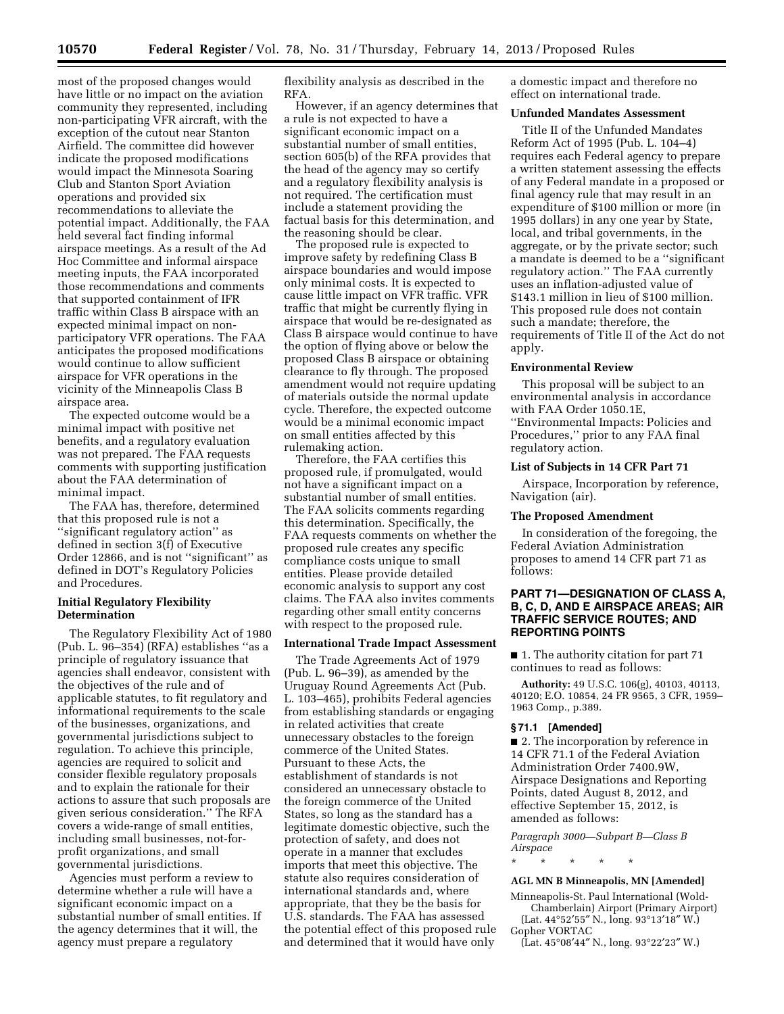most of the proposed changes would have little or no impact on the aviation community they represented, including non-participating VFR aircraft, with the exception of the cutout near Stanton Airfield. The committee did however indicate the proposed modifications would impact the Minnesota Soaring Club and Stanton Sport Aviation operations and provided six recommendations to alleviate the potential impact. Additionally, the FAA held several fact finding informal airspace meetings. As a result of the Ad Hoc Committee and informal airspace meeting inputs, the FAA incorporated those recommendations and comments that supported containment of IFR traffic within Class B airspace with an expected minimal impact on nonparticipatory VFR operations. The FAA anticipates the proposed modifications would continue to allow sufficient airspace for VFR operations in the vicinity of the Minneapolis Class B airspace area.

The expected outcome would be a minimal impact with positive net benefits, and a regulatory evaluation was not prepared. The FAA requests comments with supporting justification about the FAA determination of minimal impact.

The FAA has, therefore, determined that this proposed rule is not a ''significant regulatory action'' as defined in section 3(f) of Executive Order 12866, and is not ''significant'' as defined in DOT's Regulatory Policies and Procedures.

## **Initial Regulatory Flexibility Determination**

The Regulatory Flexibility Act of 1980 (Pub. L. 96–354) (RFA) establishes ''as a principle of regulatory issuance that agencies shall endeavor, consistent with the objectives of the rule and of applicable statutes, to fit regulatory and informational requirements to the scale of the businesses, organizations, and governmental jurisdictions subject to regulation. To achieve this principle, agencies are required to solicit and consider flexible regulatory proposals and to explain the rationale for their actions to assure that such proposals are given serious consideration.'' The RFA covers a wide-range of small entities, including small businesses, not-forprofit organizations, and small governmental jurisdictions.

Agencies must perform a review to determine whether a rule will have a significant economic impact on a substantial number of small entities. If the agency determines that it will, the agency must prepare a regulatory

flexibility analysis as described in the RFA.

However, if an agency determines that a rule is not expected to have a significant economic impact on a substantial number of small entities, section 605(b) of the RFA provides that the head of the agency may so certify and a regulatory flexibility analysis is not required. The certification must include a statement providing the factual basis for this determination, and the reasoning should be clear.

The proposed rule is expected to improve safety by redefining Class B airspace boundaries and would impose only minimal costs. It is expected to cause little impact on VFR traffic. VFR traffic that might be currently flying in airspace that would be re-designated as Class B airspace would continue to have the option of flying above or below the proposed Class B airspace or obtaining clearance to fly through. The proposed amendment would not require updating of materials outside the normal update cycle. Therefore, the expected outcome would be a minimal economic impact on small entities affected by this rulemaking action.

Therefore, the FAA certifies this proposed rule, if promulgated, would not have a significant impact on a substantial number of small entities. The FAA solicits comments regarding this determination. Specifically, the FAA requests comments on whether the proposed rule creates any specific compliance costs unique to small entities. Please provide detailed economic analysis to support any cost claims. The FAA also invites comments regarding other small entity concerns with respect to the proposed rule.

## **International Trade Impact Assessment**

The Trade Agreements Act of 1979 (Pub. L. 96–39), as amended by the Uruguay Round Agreements Act (Pub. L. 103–465), prohibits Federal agencies from establishing standards or engaging in related activities that create unnecessary obstacles to the foreign commerce of the United States. Pursuant to these Acts, the establishment of standards is not considered an unnecessary obstacle to the foreign commerce of the United States, so long as the standard has a legitimate domestic objective, such the protection of safety, and does not operate in a manner that excludes imports that meet this objective. The statute also requires consideration of international standards and, where appropriate, that they be the basis for U.S. standards. The FAA has assessed the potential effect of this proposed rule and determined that it would have only

a domestic impact and therefore no effect on international trade.

## **Unfunded Mandates Assessment**

Title II of the Unfunded Mandates Reform Act of 1995 (Pub. L. 104–4) requires each Federal agency to prepare a written statement assessing the effects of any Federal mandate in a proposed or final agency rule that may result in an expenditure of \$100 million or more (in 1995 dollars) in any one year by State, local, and tribal governments, in the aggregate, or by the private sector; such a mandate is deemed to be a ''significant regulatory action.'' The FAA currently uses an inflation-adjusted value of \$143.1 million in lieu of \$100 million. This proposed rule does not contain such a mandate; therefore, the requirements of Title II of the Act do not apply.

#### **Environmental Review**

This proposal will be subject to an environmental analysis in accordance with FAA Order 1050.1E, ''Environmental Impacts: Policies and Procedures,'' prior to any FAA final regulatory action.

# **List of Subjects in 14 CFR Part 71**

Airspace, Incorporation by reference, Navigation (air).

#### **The Proposed Amendment**

In consideration of the foregoing, the Federal Aviation Administration proposes to amend 14 CFR part 71 as follows:

## **PART 71—DESIGNATION OF CLASS A, B, C, D, AND E AIRSPACE AREAS; AIR TRAFFIC SERVICE ROUTES; AND REPORTING POINTS**

■ 1. The authority citation for part 71 continues to read as follows:

**Authority:** 49 U.S.C. 106(g), 40103, 40113, 40120; E.O. 10854, 24 FR 9565, 3 CFR, 1959– 1963 Comp., p.389.

## **§ 71.1 [Amended]**

■ 2. The incorporation by reference in 14 CFR 71.1 of the Federal Aviation Administration Order 7400.9W, Airspace Designations and Reporting Points, dated August 8, 2012, and effective September 15, 2012, is amended as follows:

*Paragraph 3000—Subpart B—Class B Airspace* 

\* \* \* \* \*

### **AGL MN B Minneapolis, MN [Amended]**

Minneapolis-St. Paul International (Wold-Chamberlain) Airport (Primary Airport) (Lat. 44°52'55" N., long. 93°13'18" W.)

Gopher VORTAC

(Lat. 45°08′44″ N., long. 93°22′23″ W.)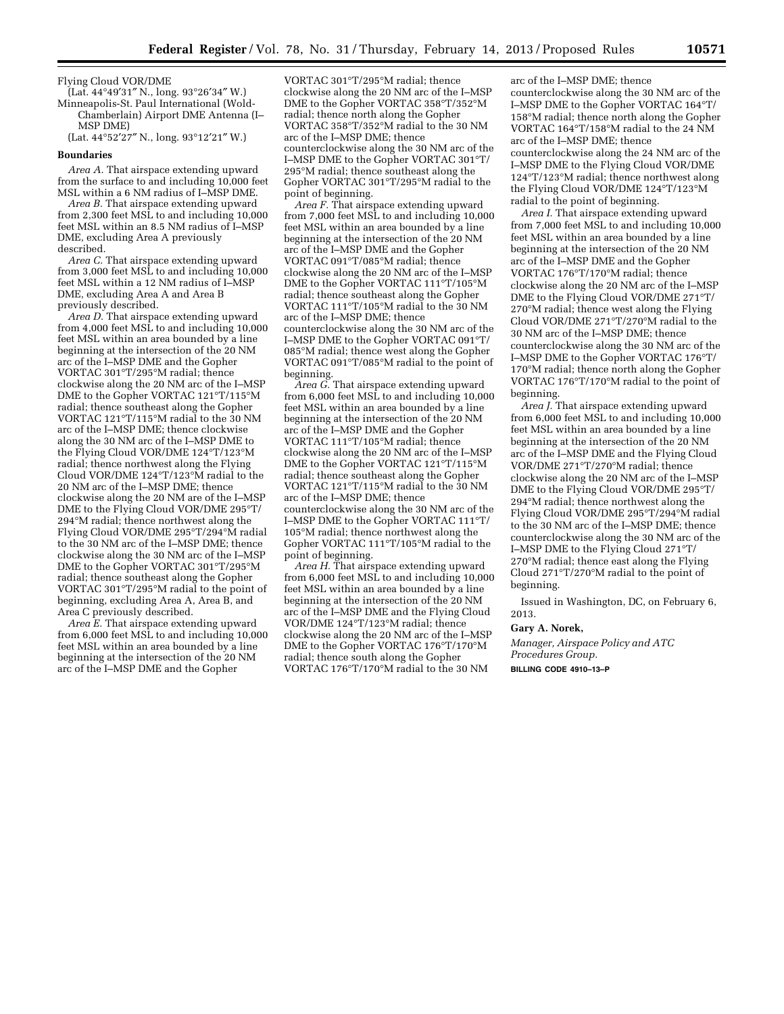Flying Cloud VOR/DME

(Lat. 44°49′31″ N., long. 93°26′34″ W.) Minneapolis-St. Paul International (Wold-Chamberlain) Airport DME Antenna (I–

MSP DME) (Lat. 44°52′27″ N., long. 93°12′21″ W.)

#### **Boundaries**

*Area A.* That airspace extending upward from the surface to and including 10,000 feet MSL within a 6 NM radius of I–MSP DME.

*Area B.* That airspace extending upward from 2,300 feet MSL to and including 10,000 feet MSL within an 8.5 NM radius of I–MSP DME, excluding Area A previously described.

*Area C.* That airspace extending upward from 3,000 feet MSL to and including 10,000 feet MSL within a 12 NM radius of I–MSP DME, excluding Area A and Area B previously described.

*Area D.* That airspace extending upward from 4,000 feet MSL to and including 10,000 feet MSL within an area bounded by a line beginning at the intersection of the 20 NM arc of the I–MSP DME and the Gopher VORTAC 301°T/295°M radial; thence clockwise along the 20 NM arc of the I–MSP DME to the Gopher VORTAC 121°T/115°M radial; thence southeast along the Gopher VORTAC 121°T/115°M radial to the 30 NM arc of the I–MSP DME; thence clockwise along the 30 NM arc of the I–MSP DME to the Flying Cloud VOR/DME 124°T/123°M radial; thence northwest along the Flying Cloud VOR/DME 124°T/123°M radial to the 20 NM arc of the I–MSP DME; thence clockwise along the 20 NM are of the I–MSP DME to the Flying Cloud VOR/DME 295°T/ 294°M radial; thence northwest along the Flying Cloud VOR/DME 295°T/294°M radial to the 30 NM arc of the I–MSP DME; thence clockwise along the 30 NM arc of the I–MSP DME to the Gopher VORTAC 301°T/295°M radial; thence southeast along the Gopher VORTAC 301°T/295°M radial to the point of beginning, excluding Area A, Area B, and Area C previously described.

*Area E.* That airspace extending upward from 6,000 feet MSL to and including 10,000 feet MSL within an area bounded by a line beginning at the intersection of the 20 NM arc of the I–MSP DME and the Gopher

VORTAC 301°T/295°M radial; thence clockwise along the 20 NM arc of the I–MSP DME to the Gopher VORTAC 358°T/352°M radial; thence north along the Gopher VORTAC 358°T/352°M radial to the 30 NM arc of the I–MSP DME; thence counterclockwise along the 30 NM arc of the I–MSP DME to the Gopher VORTAC 301°T/ 295°M radial; thence southeast along the Gopher VORTAC 301°T/295°M radial to the point of beginning.

*Area F.* That airspace extending upward from 7,000 feet MSL to and including 10,000 feet MSL within an area bounded by a line beginning at the intersection of the 20 NM arc of the I–MSP DME and the Gopher VORTAC 091°T/085°M radial; thence clockwise along the 20 NM arc of the I–MSP DME to the Gopher VORTAC 111°T/105°M radial; thence southeast along the Gopher VORTAC 111°T/105°M radial to the 30 NM arc of the I–MSP DME; thence counterclockwise along the 30 NM arc of the I–MSP DME to the Gopher VORTAC 091°T/ 085°M radial; thence west along the Gopher VORTAC 091°T/085°M radial to the point of beginning.

*Area G.* That airspace extending upward from 6,000 feet MSL to and including 10,000 feet MSL within an area bounded by a line beginning at the intersection of the 20 NM arc of the I–MSP DME and the Gopher VORTAC 111°T/105°M radial; thence clockwise along the 20 NM arc of the I–MSP DME to the Gopher VORTAC 121°T/115°M radial; thence southeast along the Gopher VORTAC 121°T/115°M radial to the 30 NM arc of the I–MSP DME; thence counterclockwise along the 30 NM arc of the I–MSP DME to the Gopher VORTAC 111°T/ 105°M radial; thence northwest along the Gopher VORTAC 111°T/105°M radial to the point of beginning.

*Area H.* That airspace extending upward from 6,000 feet MSL to and including 10,000 feet MSL within an area bounded by a line beginning at the intersection of the 20 NM arc of the I–MSP DME and the Flying Cloud VOR/DME 124°T/123°M radial; thence clockwise along the 20 NM arc of the I–MSP DME to the Gopher VORTAC 176°T/170°M radial; thence south along the Gopher VORTAC 176°T/170°M radial to the 30 NM

arc of the I–MSP DME; thence counterclockwise along the 30 NM arc of the I–MSP DME to the Gopher VORTAC 164°T/ 158°M radial; thence north along the Gopher VORTAC 164°T/158°M radial to the 24 NM arc of the I–MSP DME; thence counterclockwise along the 24 NM arc of the I–MSP DME to the Flying Cloud VOR/DME 124°T/123°M radial; thence northwest along the Flying Cloud VOR/DME 124°T/123°M radial to the point of beginning.

*Area I.* That airspace extending upward from 7,000 feet MSL to and including 10,000 feet MSL within an area bounded by a line beginning at the intersection of the 20 NM arc of the I–MSP DME and the Gopher VORTAC 176°T/170°M radial; thence clockwise along the 20 NM arc of the I–MSP DME to the Flying Cloud VOR/DME 271°T/ 270°M radial; thence west along the Flying Cloud VOR/DME 271°T/270°M radial to the 30 NM arc of the I–MSP DME; thence counterclockwise along the 30 NM arc of the I–MSP DME to the Gopher VORTAC 176°T/ 170°M radial; thence north along the Gopher VORTAC 176°T/170°M radial to the point of beginning.

*Area J.* That airspace extending upward from 6,000 feet MSL to and including 10,000 feet MSL within an area bounded by a line beginning at the intersection of the 20 NM arc of the I–MSP DME and the Flying Cloud VOR/DME 271°T/270°M radial; thence clockwise along the 20 NM arc of the I–MSP DME to the Flying Cloud VOR/DME 295°T/ 294°M radial; thence northwest along the Flying Cloud VOR/DME 295°T/294°M radial to the 30 NM arc of the I–MSP DME; thence counterclockwise along the 30 NM arc of the I–MSP DME to the Flying Cloud 271°T/ 270°M radial; thence east along the Flying Cloud 271°T/270°M radial to the point of beginning.

Issued in Washington, DC, on February 6, 2013.

#### **Gary A. Norek,**

*Manager, Airspace Policy and ATC Procedures Group.* 

**BILLING CODE 4910–13–P**